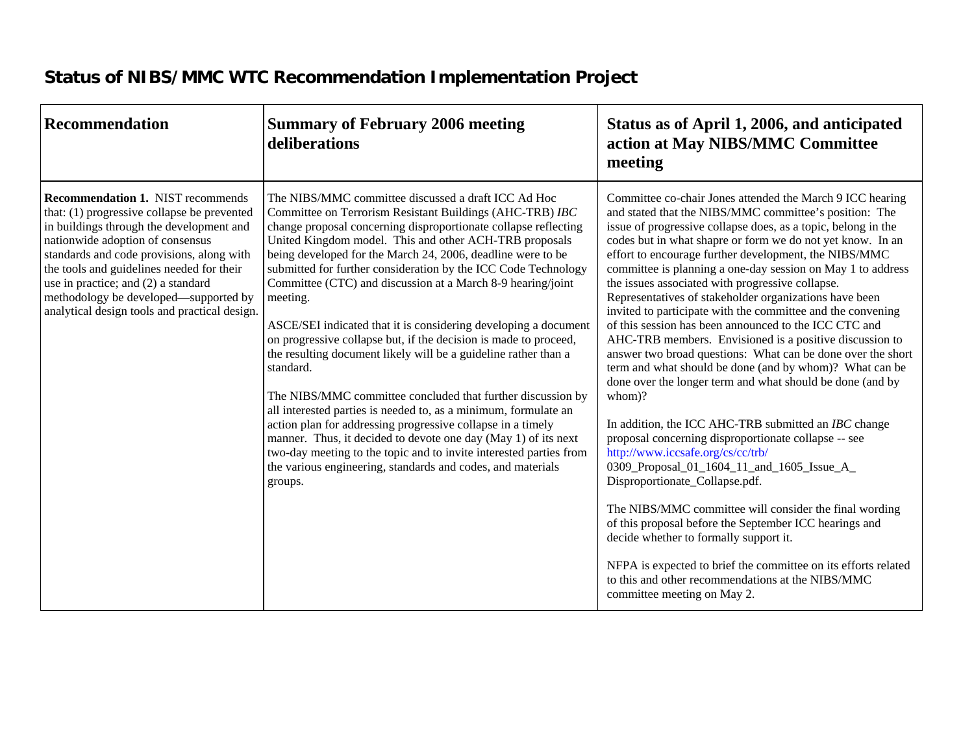## **Status of NIBS/MMC WTC Recommendation Implementation Project**

| <b>Recommendation</b>                                                                                                                                                                                                                                                                                                                                                                              | <b>Summary of February 2006 meeting</b><br>deliberations                                                                                                                                                                                                                                                                                                                                                                                                                                                                                                                                                                                                                                                                                                                                                                                                                                                                                                                                                                                                                                           | Status as of April 1, 2006, and anticipated<br>action at May NIBS/MMC Committee<br>meeting                                                                                                                                                                                                                                                                                                                                                                                                                                                                                                                                                                                                                                                                                                                                                                                                                                                                                                                                                                                                                                                                                                                                                                                                                                                                                                                                            |
|----------------------------------------------------------------------------------------------------------------------------------------------------------------------------------------------------------------------------------------------------------------------------------------------------------------------------------------------------------------------------------------------------|----------------------------------------------------------------------------------------------------------------------------------------------------------------------------------------------------------------------------------------------------------------------------------------------------------------------------------------------------------------------------------------------------------------------------------------------------------------------------------------------------------------------------------------------------------------------------------------------------------------------------------------------------------------------------------------------------------------------------------------------------------------------------------------------------------------------------------------------------------------------------------------------------------------------------------------------------------------------------------------------------------------------------------------------------------------------------------------------------|---------------------------------------------------------------------------------------------------------------------------------------------------------------------------------------------------------------------------------------------------------------------------------------------------------------------------------------------------------------------------------------------------------------------------------------------------------------------------------------------------------------------------------------------------------------------------------------------------------------------------------------------------------------------------------------------------------------------------------------------------------------------------------------------------------------------------------------------------------------------------------------------------------------------------------------------------------------------------------------------------------------------------------------------------------------------------------------------------------------------------------------------------------------------------------------------------------------------------------------------------------------------------------------------------------------------------------------------------------------------------------------------------------------------------------------|
| <b>Recommendation 1. NIST recommends</b><br>that: (1) progressive collapse be prevented<br>in buildings through the development and<br>nationwide adoption of consensus<br>standards and code provisions, along with<br>the tools and guidelines needed for their<br>use in practice; and (2) a standard<br>methodology be developed—supported by<br>analytical design tools and practical design. | The NIBS/MMC committee discussed a draft ICC Ad Hoc<br>Committee on Terrorism Resistant Buildings (AHC-TRB) IBC<br>change proposal concerning disproportionate collapse reflecting<br>United Kingdom model. This and other ACH-TRB proposals<br>being developed for the March 24, 2006, deadline were to be<br>submitted for further consideration by the ICC Code Technology<br>Committee (CTC) and discussion at a March 8-9 hearing/joint<br>meeting.<br>ASCE/SEI indicated that it is considering developing a document<br>on progressive collapse but, if the decision is made to proceed,<br>the resulting document likely will be a guideline rather than a<br>standard.<br>The NIBS/MMC committee concluded that further discussion by<br>all interested parties is needed to, as a minimum, formulate an<br>action plan for addressing progressive collapse in a timely<br>manner. Thus, it decided to devote one day (May 1) of its next<br>two-day meeting to the topic and to invite interested parties from<br>the various engineering, standards and codes, and materials<br>groups. | Committee co-chair Jones attended the March 9 ICC hearing<br>and stated that the NIBS/MMC committee's position: The<br>issue of progressive collapse does, as a topic, belong in the<br>codes but in what shapre or form we do not yet know. In an<br>effort to encourage further development, the NIBS/MMC<br>committee is planning a one-day session on May 1 to address<br>the issues associated with progressive collapse.<br>Representatives of stakeholder organizations have been<br>invited to participate with the committee and the convening<br>of this session has been announced to the ICC CTC and<br>AHC-TRB members. Envisioned is a positive discussion to<br>answer two broad questions: What can be done over the short<br>term and what should be done (and by whom)? What can be<br>done over the longer term and what should be done (and by<br>whom)?<br>In addition, the ICC AHC-TRB submitted an IBC change<br>proposal concerning disproportionate collapse -- see<br>http://www.iccsafe.org/cs/cc/trb/<br>0309_Proposal_01_1604_11_and_1605_Issue_A_<br>Disproportionate_Collapse.pdf.<br>The NIBS/MMC committee will consider the final wording<br>of this proposal before the September ICC hearings and<br>decide whether to formally support it.<br>NFPA is expected to brief the committee on its efforts related<br>to this and other recommendations at the NIBS/MMC<br>committee meeting on May 2. |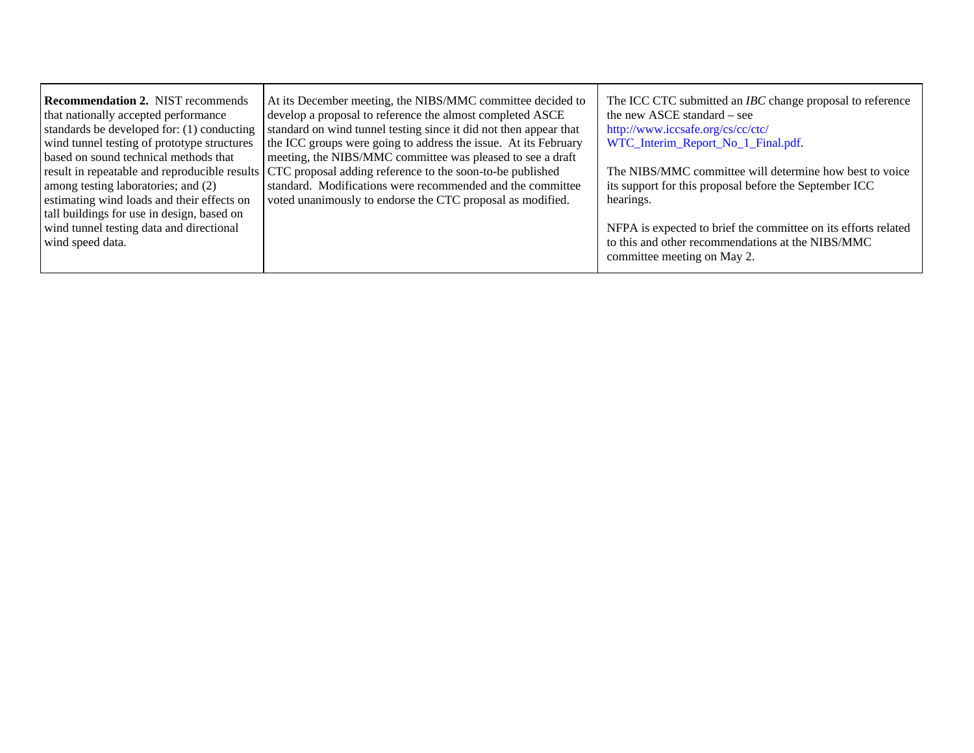| <b>Recommendation 2. NIST recommends</b>    | At its December meeting, the NIBS/MMC committee decided to                                              | The ICC CTC submitted an <i>IBC</i> change proposal to reference |
|---------------------------------------------|---------------------------------------------------------------------------------------------------------|------------------------------------------------------------------|
| that nationally accepted performance        | develop a proposal to reference the almost completed ASCE                                               | the new ASCE standard – see                                      |
| standards be developed for: (1) conducting  | standard on wind tunnel testing since it did not then appear that                                       | http://www.iccsafe.org/cs/cc/ctc/                                |
| wind tunnel testing of prototype structures | the ICC groups were going to address the issue. At its February                                         | WTC_Interim_Report_No_1_Final.pdf.                               |
| based on sound technical methods that       | meeting, the NIBS/MMC committee was pleased to see a draft                                              |                                                                  |
|                                             | result in repeatable and reproducible results CTC proposal adding reference to the soon-to-be published | The NIBS/MMC committee will determine how best to voice          |
| among testing laboratories; and (2)         | standard. Modifications were recommended and the committee                                              | its support for this proposal before the September ICC           |
| estimating wind loads and their effects on  | voted unanimously to endorse the CTC proposal as modified.                                              | hearings.                                                        |
| tall buildings for use in design, based on  |                                                                                                         |                                                                  |
| wind tunnel testing data and directional    |                                                                                                         | NFPA is expected to brief the committee on its efforts related   |
| wind speed data.                            |                                                                                                         | to this and other recommendations at the NIBS/MMC                |
|                                             |                                                                                                         | committee meeting on May 2.                                      |
|                                             |                                                                                                         |                                                                  |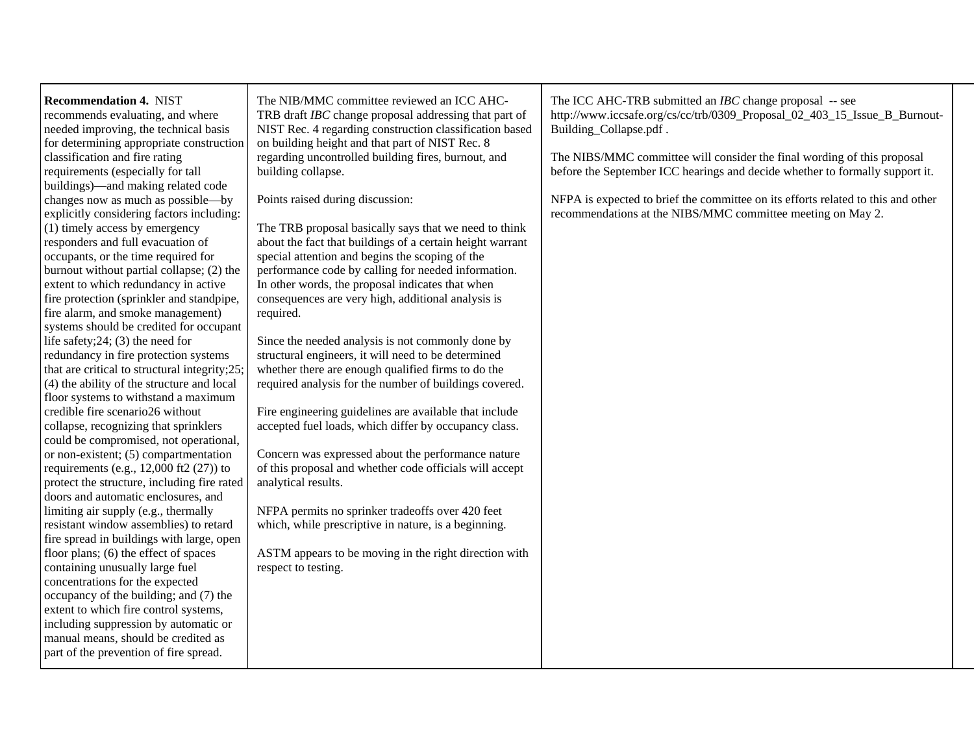| <b>Recommendation 4. NIST</b><br>recommends evaluating, and where<br>needed improving, the technical basis<br>for determining appropriate construction                   | The NIB/MMC committee reviewed an ICC AHC-<br>TRB draft IBC change proposal addressing that part of<br>NIST Rec. 4 regarding construction classification based<br>on building height and that part of NIST Rec. 8 | The ICC AHC-TRB submitted an <i>IBC</i> change proposal -- see<br>http://www.iccsafe.org/cs/cc/trb/0309_Proposal_02_403_15_Issue_B_Burnout-<br>Building_Collapse.pdf. |
|--------------------------------------------------------------------------------------------------------------------------------------------------------------------------|-------------------------------------------------------------------------------------------------------------------------------------------------------------------------------------------------------------------|-----------------------------------------------------------------------------------------------------------------------------------------------------------------------|
| classification and fire rating<br>requirements (especially for tall<br>buildings)—and making related code                                                                | regarding uncontrolled building fires, burnout, and<br>building collapse.                                                                                                                                         | The NIBS/MMC committee will consider the final wording of this proposal<br>before the September ICC hearings and decide whether to formally support it.               |
| changes now as much as possible—by<br>explicitly considering factors including:                                                                                          | Points raised during discussion:                                                                                                                                                                                  | NFPA is expected to brief the committee on its efforts related to this and other<br>recommendations at the NIBS/MMC committee meeting on May 2.                       |
| (1) timely access by emergency<br>responders and full evacuation of<br>occupants, or the time required for                                                               | The TRB proposal basically says that we need to think<br>about the fact that buildings of a certain height warrant<br>special attention and begins the scoping of the                                             |                                                                                                                                                                       |
| burnout without partial collapse; (2) the<br>extent to which redundancy in active                                                                                        | performance code by calling for needed information.<br>In other words, the proposal indicates that when                                                                                                           |                                                                                                                                                                       |
| fire protection (sprinkler and standpipe,<br>fire alarm, and smoke management)                                                                                           | consequences are very high, additional analysis is<br>required.                                                                                                                                                   |                                                                                                                                                                       |
| systems should be credited for occupant<br>life safety; $24$ ; $(3)$ the need for<br>redundancy in fire protection systems                                               | Since the needed analysis is not commonly done by<br>structural engineers, it will need to be determined                                                                                                          |                                                                                                                                                                       |
| that are critical to structural integrity; 25;<br>(4) the ability of the structure and local                                                                             | whether there are enough qualified firms to do the<br>required analysis for the number of buildings covered.                                                                                                      |                                                                                                                                                                       |
| floor systems to withstand a maximum<br>credible fire scenario26 without                                                                                                 | Fire engineering guidelines are available that include                                                                                                                                                            |                                                                                                                                                                       |
| collapse, recognizing that sprinklers<br>could be compromised, not operational,                                                                                          | accepted fuel loads, which differ by occupancy class.                                                                                                                                                             |                                                                                                                                                                       |
| or non-existent; (5) compartmentation<br>requirements (e.g., $12,000$ ft2 (27)) to<br>protect the structure, including fire rated<br>doors and automatic enclosures, and | Concern was expressed about the performance nature<br>of this proposal and whether code officials will accept<br>analytical results.                                                                              |                                                                                                                                                                       |
| limiting air supply (e.g., thermally<br>resistant window assemblies) to retard<br>fire spread in buildings with large, open                                              | NFPA permits no sprinker tradeoffs over 420 feet<br>which, while prescriptive in nature, is a beginning.                                                                                                          |                                                                                                                                                                       |
| floor plans; $(6)$ the effect of spaces<br>containing unusually large fuel                                                                                               | ASTM appears to be moving in the right direction with<br>respect to testing.                                                                                                                                      |                                                                                                                                                                       |
| concentrations for the expected<br>occupancy of the building; and (7) the<br>extent to which fire control systems,                                                       |                                                                                                                                                                                                                   |                                                                                                                                                                       |
| including suppression by automatic or<br>manual means, should be credited as                                                                                             |                                                                                                                                                                                                                   |                                                                                                                                                                       |
| part of the prevention of fire spread.                                                                                                                                   |                                                                                                                                                                                                                   |                                                                                                                                                                       |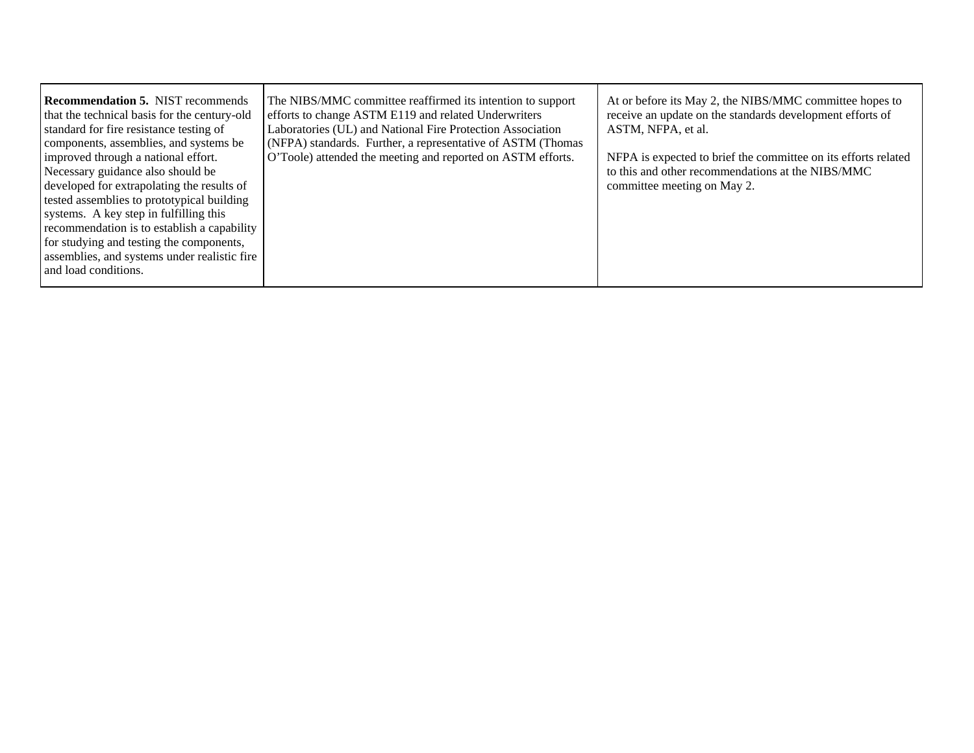| The NIBS/MMC committee reaffirmed its intention to support<br>efforts to change ASTM E119 and related Underwriters<br>Laboratories (UL) and National Fire Protection Association<br>(NFPA) standards. Further, a representative of ASTM (Thomas<br>O'Toole) attended the meeting and reported on ASTM efforts. | At or before its May 2, the NIBS/MMC committee hopes to<br>receive an update on the standards development efforts of<br>ASTM, NFPA, et al.<br>NFPA is expected to brief the committee on its efforts related<br>to this and other recommendations at the NIBS/MMC<br>committee meeting on May 2. |
|----------------------------------------------------------------------------------------------------------------------------------------------------------------------------------------------------------------------------------------------------------------------------------------------------------------|--------------------------------------------------------------------------------------------------------------------------------------------------------------------------------------------------------------------------------------------------------------------------------------------------|
|                                                                                                                                                                                                                                                                                                                |                                                                                                                                                                                                                                                                                                  |
|                                                                                                                                                                                                                                                                                                                | recommendation is to establish a capability<br>assemblies, and systems under realistic fire                                                                                                                                                                                                      |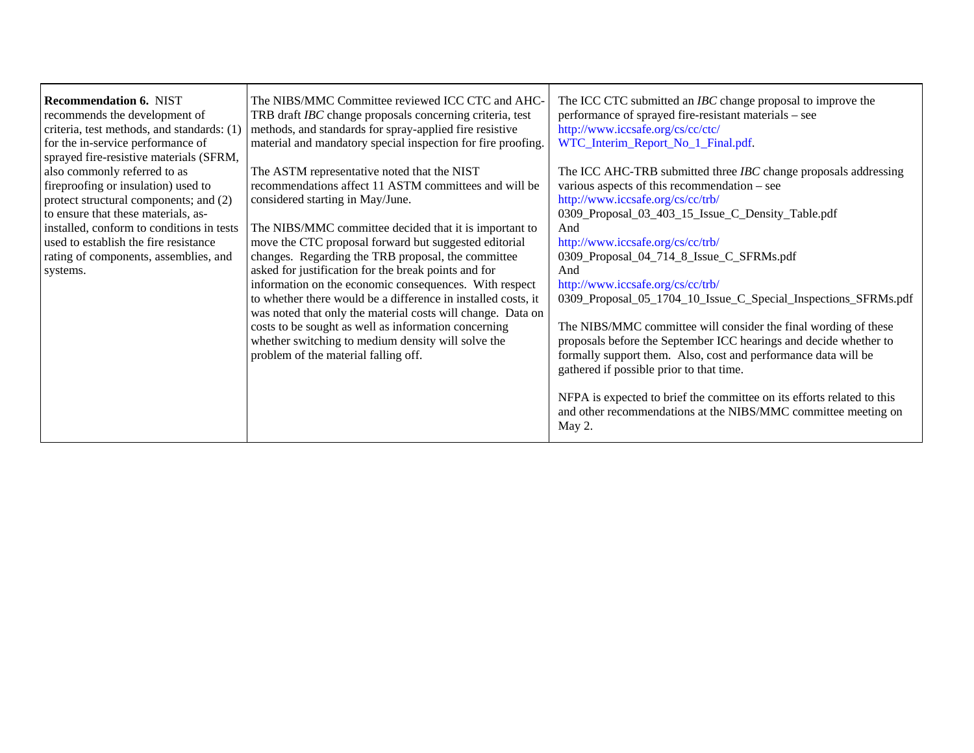| <b>Recommendation 6. NIST</b>              | The NIBS/MMC Committee reviewed ICC CTC and AHC-              | The ICC CTC submitted an <i>IBC</i> change proposal to improve the     |
|--------------------------------------------|---------------------------------------------------------------|------------------------------------------------------------------------|
| recommends the development of              | TRB draft IBC change proposals concerning criteria, test      | performance of sprayed fire-resistant materials – see                  |
| criteria, test methods, and standards: (1) | methods, and standards for spray-applied fire resistive       | http://www.iccsafe.org/cs/cc/ctc/                                      |
| for the in-service performance of          | material and mandatory special inspection for fire proofing.  | WTC_Interim_Report_No_1_Final.pdf.                                     |
| sprayed fire-resistive materials (SFRM,    |                                                               |                                                                        |
| also commonly referred to as               | The ASTM representative noted that the NIST                   | The ICC AHC-TRB submitted three <i>IBC</i> change proposals addressing |
| fireproofing or insulation) used to        | recommendations affect 11 ASTM committees and will be         | various aspects of this recommendation – see                           |
| protect structural components; and (2)     | considered starting in May/June.                              | http://www.iccsafe.org/cs/cc/trb/                                      |
| to ensure that these materials, as-        |                                                               | 0309_Proposal_03_403_15_Issue_C_Density_Table.pdf                      |
| installed, conform to conditions in tests  | The NIBS/MMC committee decided that it is important to        | And                                                                    |
| used to establish the fire resistance      | move the CTC proposal forward but suggested editorial         | http://www.iccsafe.org/cs/cc/trb/                                      |
| rating of components, assemblies, and      | changes. Regarding the TRB proposal, the committee            | 0309_Proposal_04_714_8_Issue_C_SFRMs.pdf                               |
| systems.                                   | asked for justification for the break points and for          | And                                                                    |
|                                            | information on the economic consequences. With respect        | http://www.iccsafe.org/cs/cc/trb/                                      |
|                                            | to whether there would be a difference in installed costs, it | 0309_Proposal_05_1704_10_Issue_C_Special_Inspections_SFRMs.pdf         |
|                                            | was noted that only the material costs will change. Data on   |                                                                        |
|                                            | costs to be sought as well as information concerning          | The NIBS/MMC committee will consider the final wording of these        |
|                                            | whether switching to medium density will solve the            | proposals before the September ICC hearings and decide whether to      |
|                                            | problem of the material falling off.                          | formally support them. Also, cost and performance data will be         |
|                                            |                                                               | gathered if possible prior to that time.                               |
|                                            |                                                               |                                                                        |
|                                            |                                                               | NFPA is expected to brief the committee on its efforts related to this |
|                                            |                                                               | and other recommendations at the NIBS/MMC committee meeting on         |
|                                            |                                                               | May 2.                                                                 |
|                                            |                                                               |                                                                        |

٦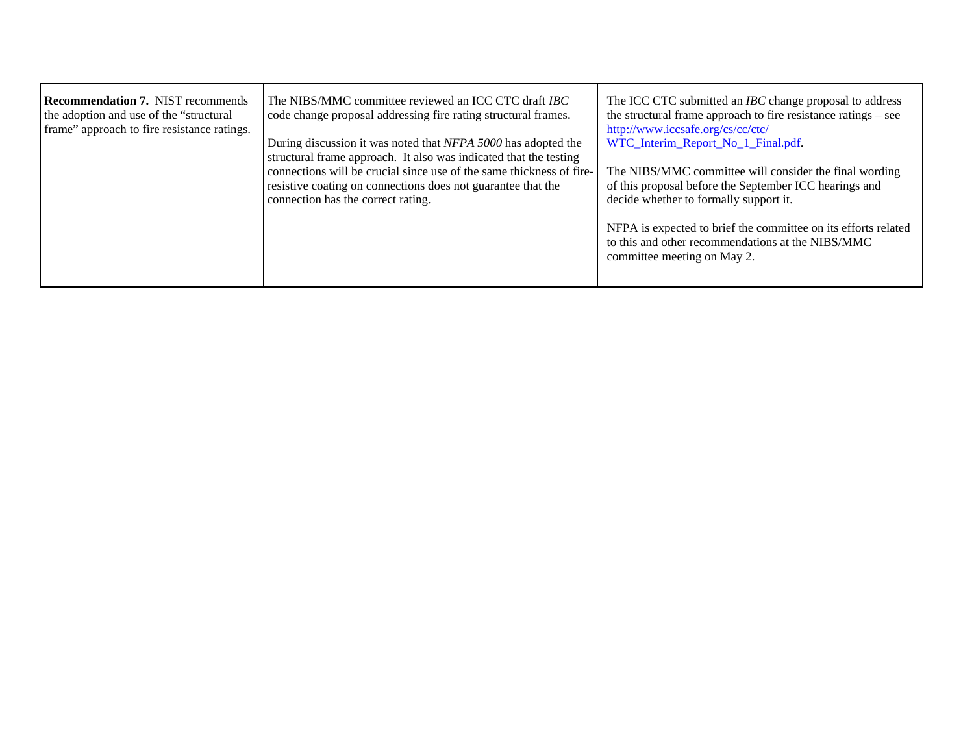| <b>Recommendation 7. NIST recommends</b><br>the adoption and use of the "structural"<br>frame" approach to fire resistance ratings. | The NIBS/MMC committee reviewed an ICC CTC draft <i>IBC</i><br>code change proposal addressing fire rating structural frames.<br>During discussion it was noted that NFPA 5000 has adopted the<br>structural frame approach. It also was indicated that the testing<br>connections will be crucial since use of the same thickness of fire-<br>resistive coating on connections does not guarantee that the | The ICC CTC submitted an <i>IBC</i> change proposal to address<br>the structural frame approach to fire resistance ratings – see<br>http://www.iccsafe.org/cs/cc/ctc/<br>WTC_Interim_Report_No_1_Final.pdf.<br>The NIBS/MMC committee will consider the final wording<br>of this proposal before the September ICC hearings and |
|-------------------------------------------------------------------------------------------------------------------------------------|-------------------------------------------------------------------------------------------------------------------------------------------------------------------------------------------------------------------------------------------------------------------------------------------------------------------------------------------------------------------------------------------------------------|---------------------------------------------------------------------------------------------------------------------------------------------------------------------------------------------------------------------------------------------------------------------------------------------------------------------------------|
|                                                                                                                                     | connection has the correct rating.                                                                                                                                                                                                                                                                                                                                                                          | decide whether to formally support it.<br>NFPA is expected to brief the committee on its efforts related<br>to this and other recommendations at the NIBS/MMC<br>committee meeting on May 2.                                                                                                                                    |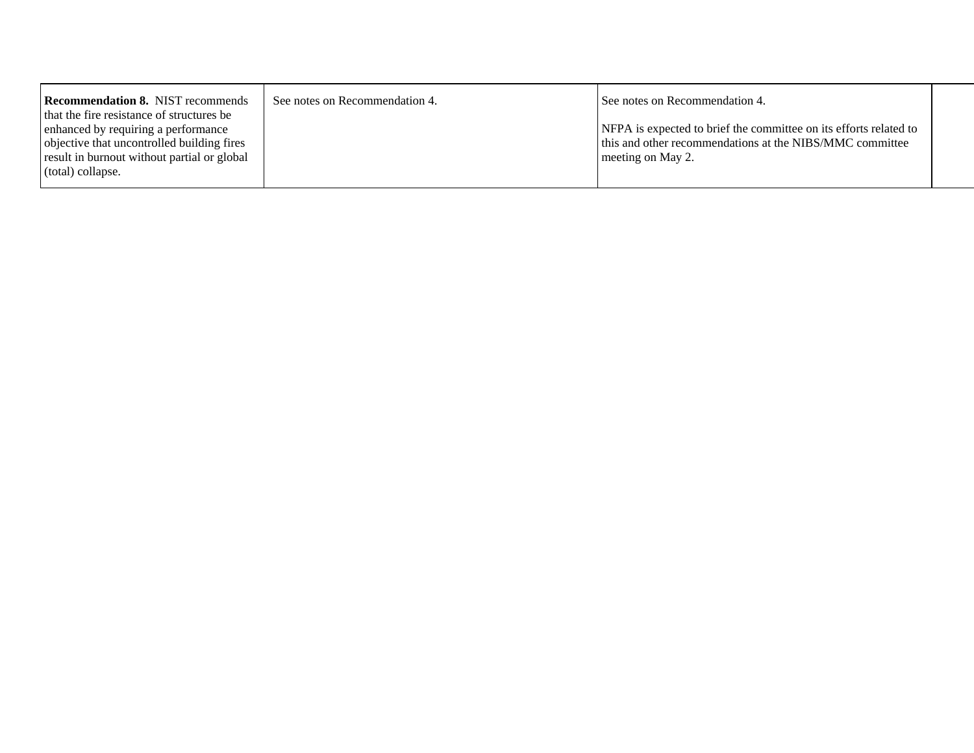| <b>Recommendation 8. NIST recommends</b>    | See notes on Recommendation 4. | See notes on Recommendation 4.                                    |  |
|---------------------------------------------|--------------------------------|-------------------------------------------------------------------|--|
| that the fire resistance of structures be   |                                |                                                                   |  |
| enhanced by requiring a performance         |                                | NFPA is expected to brief the committee on its efforts related to |  |
| objective that uncontrolled building fires  |                                | this and other recommendations at the NIBS/MMC committee          |  |
| result in burnout without partial or global |                                | meeting on May 2.                                                 |  |
| $\vert$ (total) collapse.                   |                                |                                                                   |  |
|                                             |                                |                                                                   |  |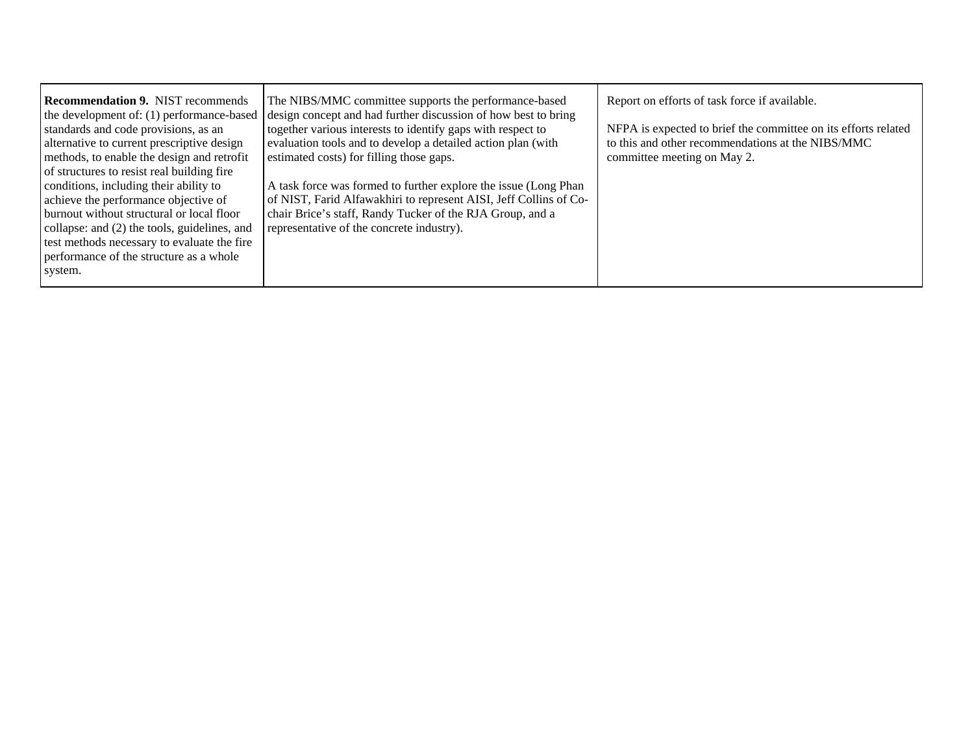| <b>Recommendation 9. NIST recommends</b><br>the development of: (1) performance-based | The NIBS/MMC committee supports the performance-based<br>design concept and had further discussion of how best to bring | Report on efforts of task force if available.                  |
|---------------------------------------------------------------------------------------|-------------------------------------------------------------------------------------------------------------------------|----------------------------------------------------------------|
| standards and code provisions, as an                                                  | together various interests to identify gaps with respect to                                                             | NFPA is expected to brief the committee on its efforts related |
| alternative to current prescriptive design                                            | evaluation tools and to develop a detailed action plan (with                                                            | to this and other recommendations at the NIBS/MMC              |
| methods, to enable the design and retrofit                                            | estimated costs) for filling those gaps.                                                                                | committee meeting on May 2.                                    |
| of structures to resist real building fire                                            |                                                                                                                         |                                                                |
| conditions, including their ability to                                                | A task force was formed to further explore the issue (Long Phan                                                         |                                                                |
| achieve the performance objective of                                                  | of NIST, Farid Alfawakhiri to represent AISI, Jeff Collins of Co-                                                       |                                                                |
| burnout without structural or local floor                                             | chair Brice's staff, Randy Tucker of the RJA Group, and a                                                               |                                                                |
| collapse: and (2) the tools, guidelines, and                                          | representative of the concrete industry).                                                                               |                                                                |
| test methods necessary to evaluate the fire                                           |                                                                                                                         |                                                                |
| performance of the structure as a whole                                               |                                                                                                                         |                                                                |
| system.                                                                               |                                                                                                                         |                                                                |
|                                                                                       |                                                                                                                         |                                                                |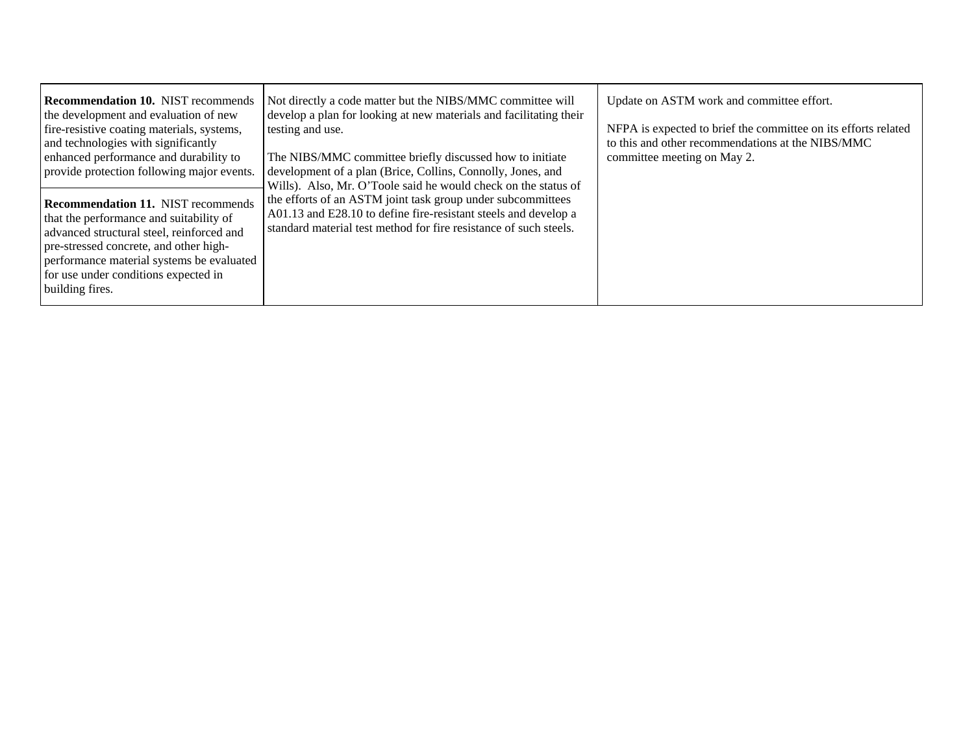| <b>Recommendation 10. NIST recommends</b><br>the development and evaluation of new<br>fire-resistive coating materials, systems,<br>and technologies with significantly<br>enhanced performance and durability to<br>provide protection following major events.<br><b>Recommendation 11. NIST recommends</b><br>that the performance and suitability of<br>advanced structural steel, reinforced and<br>pre-stressed concrete, and other high-<br>performance material systems be evaluated<br>for use under conditions expected in<br>building fires. | Not directly a code matter but the NIBS/MMC committee will<br>develop a plan for looking at new materials and facilitating their<br>testing and use.<br>The NIBS/MMC committee briefly discussed how to initiate<br>development of a plan (Brice, Collins, Connolly, Jones, and<br>Wills). Also, Mr. O'Toole said he would check on the status of<br>the efforts of an ASTM joint task group under subcommittees<br>A01.13 and E28.10 to define fire-resistant steels and develop a<br>standard material test method for fire resistance of such steels. | Update on ASTM work and committee effort.<br>NFPA is expected to brief the committee on its efforts related<br>to this and other recommendations at the NIBS/MMC<br>committee meeting on May 2. |
|--------------------------------------------------------------------------------------------------------------------------------------------------------------------------------------------------------------------------------------------------------------------------------------------------------------------------------------------------------------------------------------------------------------------------------------------------------------------------------------------------------------------------------------------------------|----------------------------------------------------------------------------------------------------------------------------------------------------------------------------------------------------------------------------------------------------------------------------------------------------------------------------------------------------------------------------------------------------------------------------------------------------------------------------------------------------------------------------------------------------------|-------------------------------------------------------------------------------------------------------------------------------------------------------------------------------------------------|
|--------------------------------------------------------------------------------------------------------------------------------------------------------------------------------------------------------------------------------------------------------------------------------------------------------------------------------------------------------------------------------------------------------------------------------------------------------------------------------------------------------------------------------------------------------|----------------------------------------------------------------------------------------------------------------------------------------------------------------------------------------------------------------------------------------------------------------------------------------------------------------------------------------------------------------------------------------------------------------------------------------------------------------------------------------------------------------------------------------------------------|-------------------------------------------------------------------------------------------------------------------------------------------------------------------------------------------------|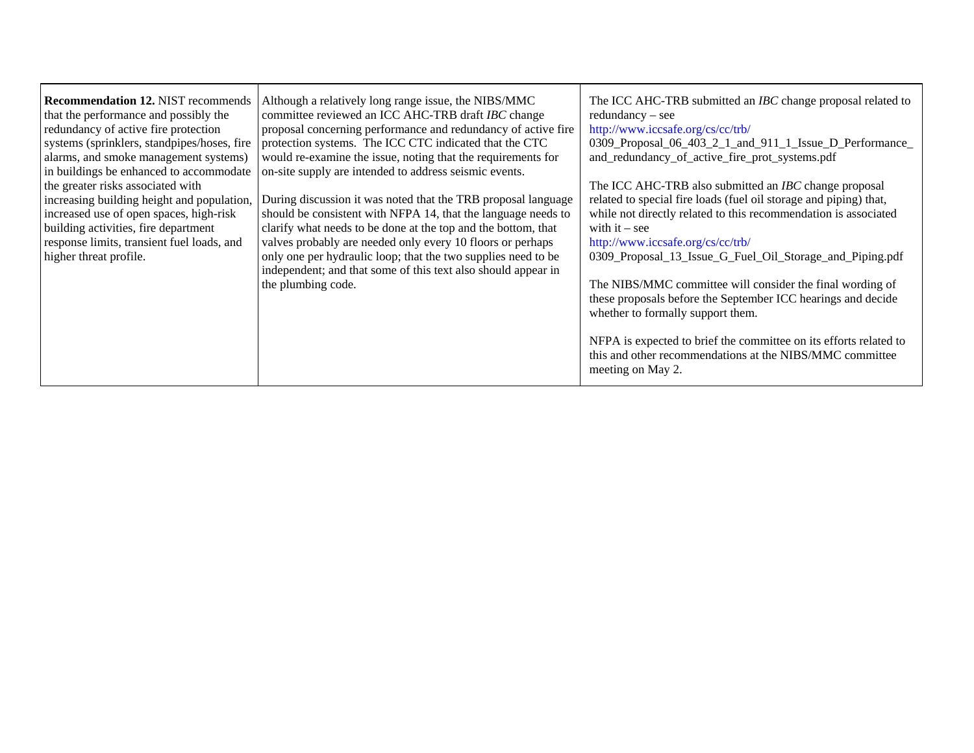| <b>Recommendation 12. NIST recommends</b><br>that the performance and possibly the<br>redundancy of active fire protection<br>systems (sprinklers, standpipes/hoses, fire<br>alarms, and smoke management systems) | Although a relatively long range issue, the NIBS/MMC<br>committee reviewed an ICC AHC-TRB draft IBC change<br>proposal concerning performance and redundancy of active fire<br>protection systems. The ICC CTC indicated that the CTC<br>would re-examine the issue, noting that the requirements for | The ICC AHC-TRB submitted an <i>IBC</i> change proposal related to<br>redundancy – see<br>http://www.iccsafe.org/cs/cc/trb/<br>0309_Proposal_06_403_2_1_and_911_1_Issue_D_Performance_<br>and_redundancy_of_active_fire_prot_systems.pdf |
|--------------------------------------------------------------------------------------------------------------------------------------------------------------------------------------------------------------------|-------------------------------------------------------------------------------------------------------------------------------------------------------------------------------------------------------------------------------------------------------------------------------------------------------|------------------------------------------------------------------------------------------------------------------------------------------------------------------------------------------------------------------------------------------|
| in buildings be enhanced to accommodate                                                                                                                                                                            | on-site supply are intended to address seismic events.                                                                                                                                                                                                                                                |                                                                                                                                                                                                                                          |
| the greater risks associated with                                                                                                                                                                                  |                                                                                                                                                                                                                                                                                                       | The ICC AHC-TRB also submitted an <i>IBC</i> change proposal                                                                                                                                                                             |
| increasing building height and population,                                                                                                                                                                         | During discussion it was noted that the TRB proposal language                                                                                                                                                                                                                                         | related to special fire loads (fuel oil storage and piping) that,                                                                                                                                                                        |
| increased use of open spaces, high-risk                                                                                                                                                                            | should be consistent with NFPA 14, that the language needs to                                                                                                                                                                                                                                         | while not directly related to this recommendation is associated                                                                                                                                                                          |
| building activities, fire department<br>response limits, transient fuel loads, and                                                                                                                                 | clarify what needs to be done at the top and the bottom, that<br>valves probably are needed only every 10 floors or perhaps                                                                                                                                                                           | with it $-$ see                                                                                                                                                                                                                          |
| higher threat profile.                                                                                                                                                                                             | only one per hydraulic loop; that the two supplies need to be<br>independent; and that some of this text also should appear in                                                                                                                                                                        | http://www.iccsafe.org/cs/cc/trb/<br>0309_Proposal_13_Issue_G_Fuel_Oil_Storage_and_Piping.pdf                                                                                                                                            |
|                                                                                                                                                                                                                    | the plumbing code.                                                                                                                                                                                                                                                                                    | The NIBS/MMC committee will consider the final wording of<br>these proposals before the September ICC hearings and decide<br>whether to formally support them.                                                                           |
|                                                                                                                                                                                                                    |                                                                                                                                                                                                                                                                                                       | NFPA is expected to brief the committee on its efforts related to<br>this and other recommendations at the NIBS/MMC committee<br>meeting on May 2.                                                                                       |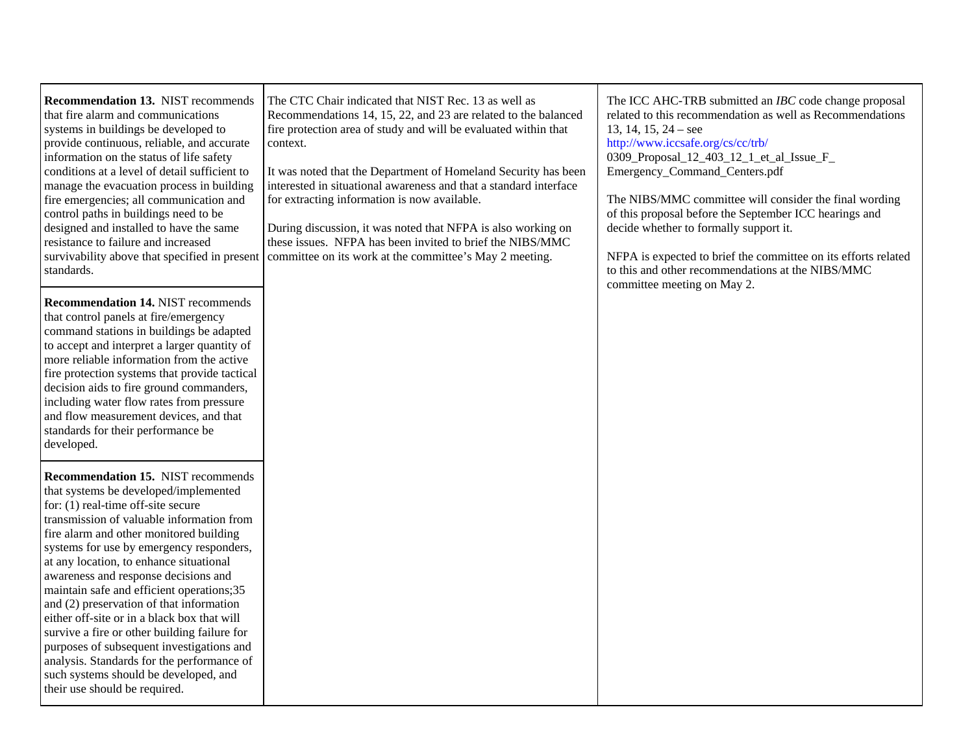**Recommendation 13.** NIST recommends that fire alarm and communications systems in buildings be developed to provide continuous, reliable, and accurate information on the status of life safety conditions at a level of detail sufficient to manage the evacuation process in building fire emergencies; all communication and control paths in buildings need to be designed and installed to have the same resistance to failure and increased survivability above that specified in present standards.

**Recommendation 14.** NIST recommends that control panels at fire/emergency command stations in buildings be adapted to accept and interpret a larger quantity of more reliable information from the active fire protection systems that provide tactical decision aids to fire ground commanders, including water flow rates from pressure and flow measurement devices, and that standards for their performance be developed.

**Recommendation 15.** NIST recommends that systems be developed/implemented for: (1) real-time off-site secure transmission of valuable information from fire alarm and other monitored building systems for use by emergency responders, at any location, to enhance situational awareness and response decisions and maintain safe and efficient operations;35 and (2) preservation of that information either off-site or in a black box that will survive a fire or other building failure for purposes of subsequent investigations and analysis. Standards for the performance of such systems should be developed, and their use should be required.

The CTC Chair indicated that NIST Rec. 13 as well as Recommendations 14, 15, 22, and 23 are related to the balanced fire protection area of study and will be evaluated within that context.

It was noted that the Department of Homeland Security has been interested in situational awareness and that a standard interface for extracting information is now available.

During discussion, it was noted that NFPA is also working on these issues. NFPA has been invited to brief the NIBS/MMC committee on its work at the committee's May 2 meeting.

The ICC AHC-TRB submitted an *IBC* code change proposal related to this recommendation as well as Recommendations 13, 14, 15, 24 – see

<http://www.iccsafe.org/cs/cc/trb/> 0309 Proposal 12 403 12 1 et al Issue F Emergency\_Command\_Centers.pdf

The NIBS/MMC committee will consider the final wording of this proposal before the September ICC hearings and decide whether to formally support it.

NFPA is expected to brief the committee on its efforts related to this and other recommendations at the NIBS/MMC committee meeting on May 2.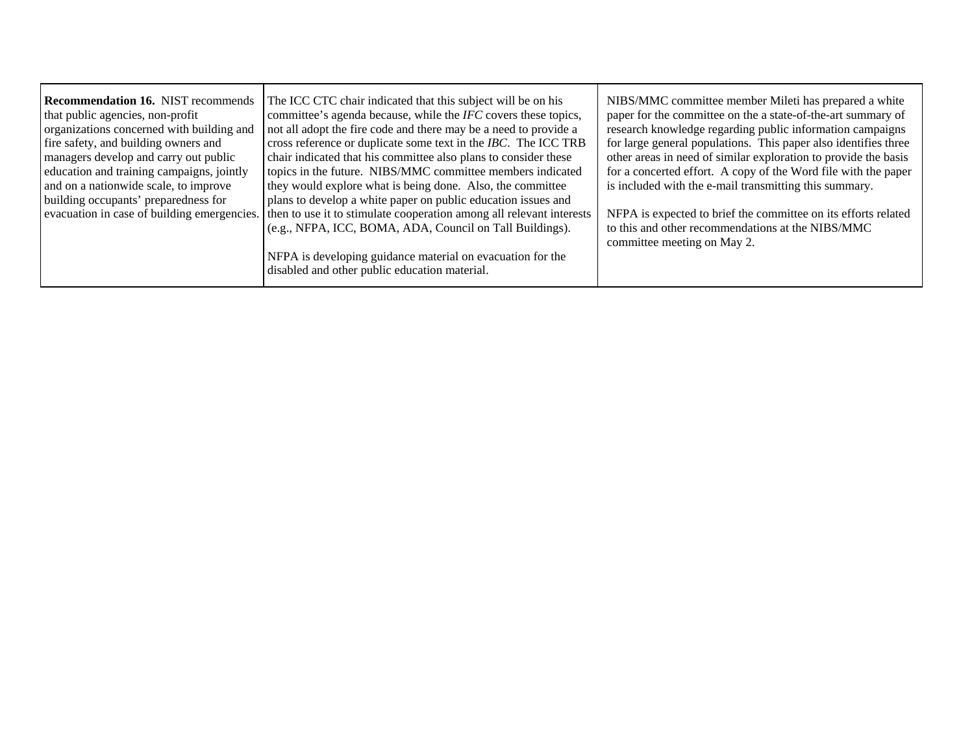$\blacksquare$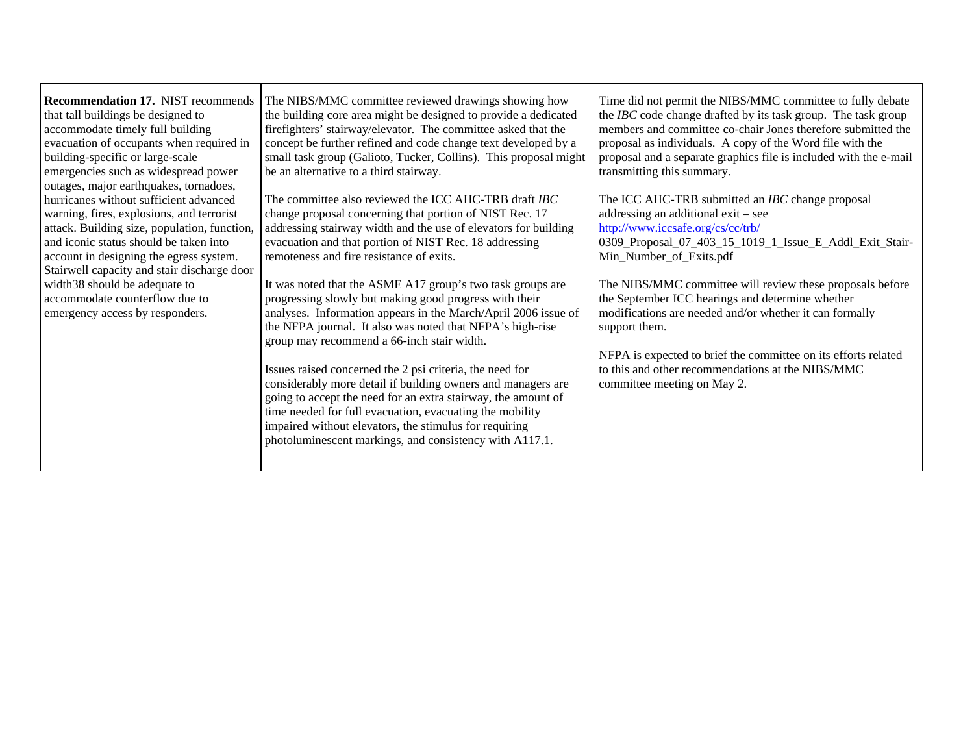| <b>Recommendation 17. NIST recommends</b><br>that tall buildings be designed to<br>accommodate timely full building<br>evacuation of occupants when required in<br>building-specific or large-scale<br>emergencies such as widespread power<br>outages, major earthquakes, tornadoes,                                                                                          | The NIBS/MMC committee reviewed drawings showing how<br>the building core area might be designed to provide a dedicated<br>firefighters' stairway/elevator. The committee asked that the<br>concept be further refined and code change text developed by a<br>small task group (Galioto, Tucker, Collins). This proposal might<br>be an alternative to a third stairway.                                                                                                                                                                                                                                                                                                                                                                                                                                                                                                                                                                                                            | Time did not permit the NIBS/MMC committee to fully debate<br>the IBC code change drafted by its task group. The task group<br>members and committee co-chair Jones therefore submitted the<br>proposal as individuals. A copy of the Word file with the<br>proposal and a separate graphics file is included with the e-mail<br>transmitting this summary.                                                                                                                                                                                                           |
|--------------------------------------------------------------------------------------------------------------------------------------------------------------------------------------------------------------------------------------------------------------------------------------------------------------------------------------------------------------------------------|-------------------------------------------------------------------------------------------------------------------------------------------------------------------------------------------------------------------------------------------------------------------------------------------------------------------------------------------------------------------------------------------------------------------------------------------------------------------------------------------------------------------------------------------------------------------------------------------------------------------------------------------------------------------------------------------------------------------------------------------------------------------------------------------------------------------------------------------------------------------------------------------------------------------------------------------------------------------------------------|-----------------------------------------------------------------------------------------------------------------------------------------------------------------------------------------------------------------------------------------------------------------------------------------------------------------------------------------------------------------------------------------------------------------------------------------------------------------------------------------------------------------------------------------------------------------------|
| hurricanes without sufficient advanced<br>warning, fires, explosions, and terrorist<br>attack. Building size, population, function,<br>and iconic status should be taken into<br>account in designing the egress system.<br>Stairwell capacity and stair discharge door<br>width 38 should be adequate to<br>accommodate counterflow due to<br>emergency access by responders. | The committee also reviewed the ICC AHC-TRB draft <i>IBC</i><br>change proposal concerning that portion of NIST Rec. 17<br>addressing stairway width and the use of elevators for building<br>evacuation and that portion of NIST Rec. 18 addressing<br>remoteness and fire resistance of exits.<br>It was noted that the ASME A17 group's two task groups are<br>progressing slowly but making good progress with their<br>analyses. Information appears in the March/April 2006 issue of<br>the NFPA journal. It also was noted that NFPA's high-rise<br>group may recommend a 66-inch stair width.<br>Issues raised concerned the 2 psi criteria, the need for<br>considerably more detail if building owners and managers are<br>going to accept the need for an extra stairway, the amount of<br>time needed for full evacuation, evacuating the mobility<br>impaired without elevators, the stimulus for requiring<br>photoluminescent markings, and consistency with A117.1. | The ICC AHC-TRB submitted an IBC change proposal<br>addressing an additional exit – see<br>http://www.iccsafe.org/cs/cc/trb/<br>0309_Proposal_07_403_15_1019_1_Issue_E_Addl_Exit_Stair-<br>Min_Number_of_Exits.pdf<br>The NIBS/MMC committee will review these proposals before<br>the September ICC hearings and determine whether<br>modifications are needed and/or whether it can formally<br>support them.<br>NFPA is expected to brief the committee on its efforts related<br>to this and other recommendations at the NIBS/MMC<br>committee meeting on May 2. |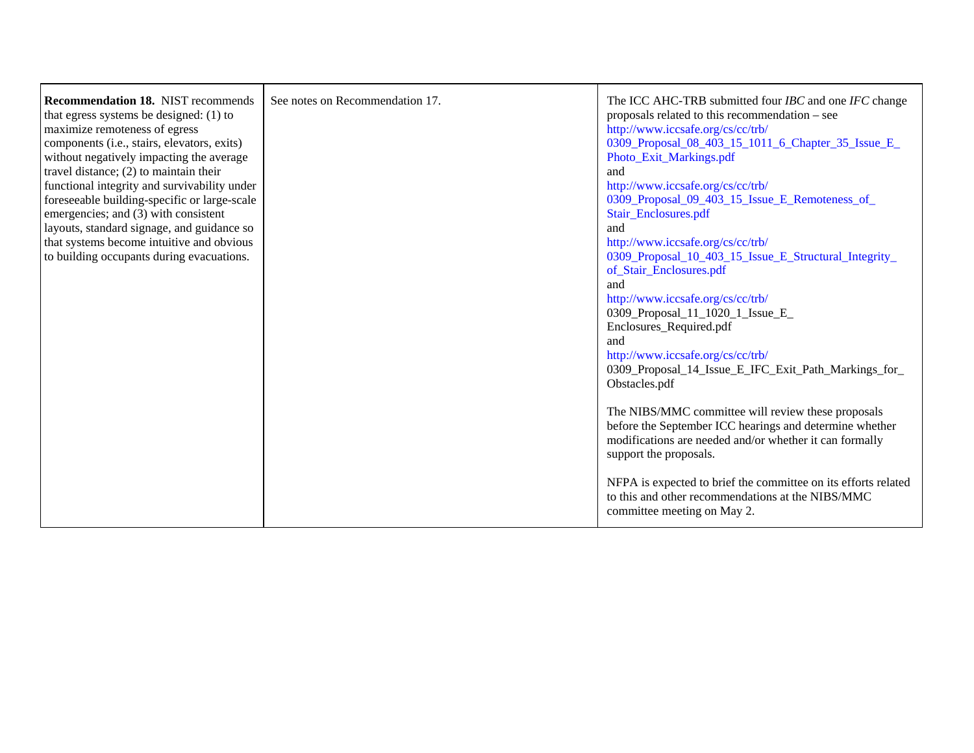| <b>Recommendation 18. NIST recommends</b><br>that egress systems be designed: $(1)$ to<br>maximize remoteness of egress<br>components (i.e., stairs, elevators, exits)<br>without negatively impacting the average<br>travel distance; $(2)$ to maintain their<br>functional integrity and survivability under<br>foreseeable building-specific or large-scale<br>emergencies; and (3) with consistent<br>layouts, standard signage, and guidance so<br>that systems become intuitive and obvious<br>to building occupants during evacuations. | See notes on Recommendation 17. | The ICC AHC-TRB submitted four <i>IBC</i> and one <i>IFC</i> change<br>proposals related to this recommendation – see<br>http://www.iccsafe.org/cs/cc/trb/<br>0309_Proposal_08_403_15_1011_6_Chapter_35_Issue_E_<br>Photo_Exit_Markings.pdf<br>and<br>http://www.iccsafe.org/cs/cc/trb/<br>0309_Proposal_09_403_15_Issue_E_Remoteness_of_<br>Stair_Enclosures.pdf<br>and<br>http://www.iccsafe.org/cs/cc/trb/<br>0309_Proposal_10_403_15_Issue_E_Structural_Integrity_<br>of_Stair_Enclosures.pdf<br>and<br>http://www.iccsafe.org/cs/cc/trb/<br>0309_Proposal_11_1020_1_Issue_E_<br>Enclosures_Required.pdf<br>and<br>http://www.iccsafe.org/cs/cc/trb/<br>0309_Proposal_14_Issue_E_IFC_Exit_Path_Markings_for_<br>Obstacles.pdf<br>The NIBS/MMC committee will review these proposals<br>before the September ICC hearings and determine whether<br>modifications are needed and/or whether it can formally<br>support the proposals. |
|------------------------------------------------------------------------------------------------------------------------------------------------------------------------------------------------------------------------------------------------------------------------------------------------------------------------------------------------------------------------------------------------------------------------------------------------------------------------------------------------------------------------------------------------|---------------------------------|-----------------------------------------------------------------------------------------------------------------------------------------------------------------------------------------------------------------------------------------------------------------------------------------------------------------------------------------------------------------------------------------------------------------------------------------------------------------------------------------------------------------------------------------------------------------------------------------------------------------------------------------------------------------------------------------------------------------------------------------------------------------------------------------------------------------------------------------------------------------------------------------------------------------------------------------|
|                                                                                                                                                                                                                                                                                                                                                                                                                                                                                                                                                |                                 | NFPA is expected to brief the committee on its efforts related<br>to this and other recommendations at the NIBS/MMC<br>committee meeting on May 2.                                                                                                                                                                                                                                                                                                                                                                                                                                                                                                                                                                                                                                                                                                                                                                                      |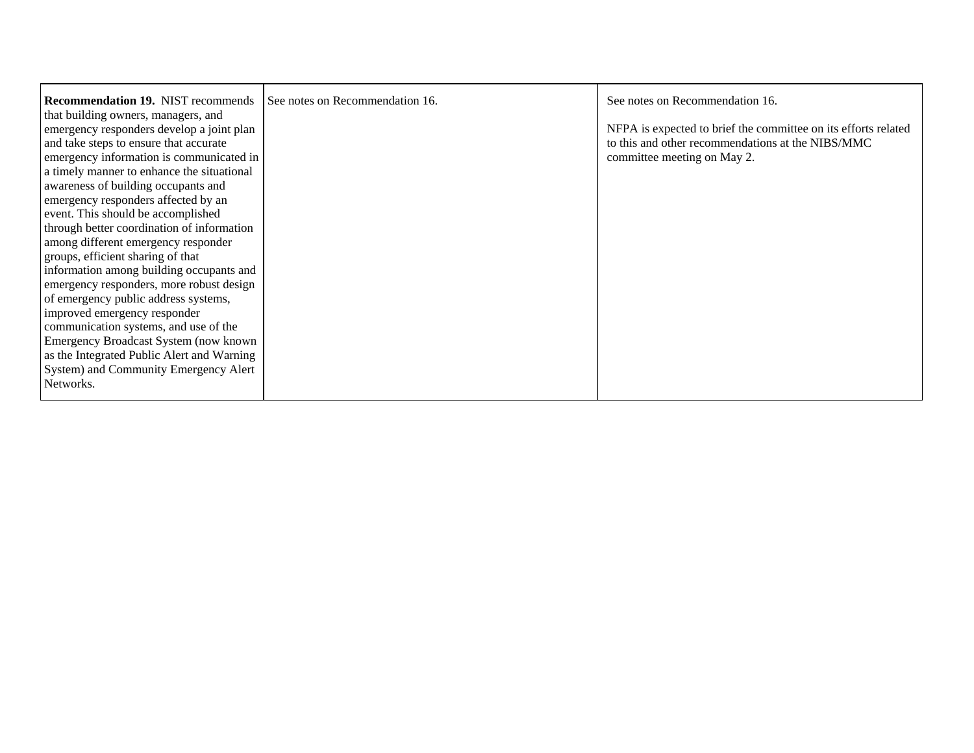| <b>Recommendation 19. NIST recommends</b>  | See notes on Recommendation 16. | See notes on Recommendation 16.                                |
|--------------------------------------------|---------------------------------|----------------------------------------------------------------|
| that building owners, managers, and        |                                 |                                                                |
| emergency responders develop a joint plan  |                                 | NFPA is expected to brief the committee on its efforts related |
| and take steps to ensure that accurate     |                                 | to this and other recommendations at the NIBS/MMC              |
| emergency information is communicated in   |                                 | committee meeting on May 2.                                    |
| a timely manner to enhance the situational |                                 |                                                                |
| awareness of building occupants and        |                                 |                                                                |
| emergency responders affected by an        |                                 |                                                                |
| event. This should be accomplished         |                                 |                                                                |
| through better coordination of information |                                 |                                                                |
| among different emergency responder        |                                 |                                                                |
| groups, efficient sharing of that          |                                 |                                                                |
| information among building occupants and   |                                 |                                                                |
| emergency responders, more robust design   |                                 |                                                                |
| of emergency public address systems,       |                                 |                                                                |
| improved emergency responder               |                                 |                                                                |
| communication systems, and use of the      |                                 |                                                                |
| Emergency Broadcast System (now known      |                                 |                                                                |
| as the Integrated Public Alert and Warning |                                 |                                                                |
| System) and Community Emergency Alert      |                                 |                                                                |
| Networks.                                  |                                 |                                                                |
|                                            |                                 |                                                                |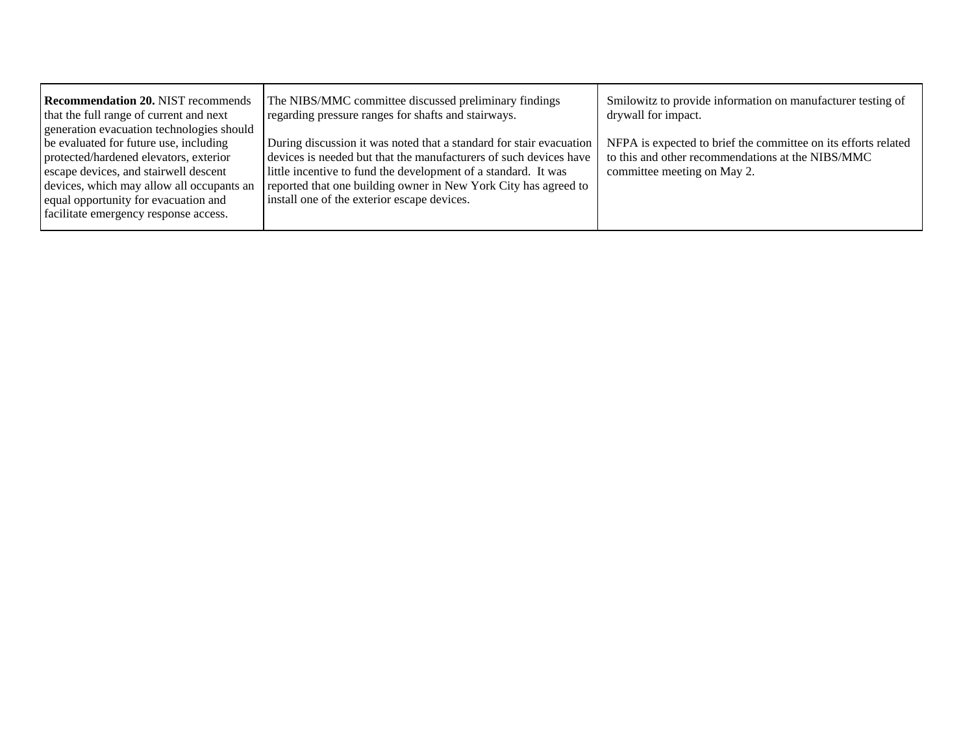| <b>Recommendation 20. NIST recommends</b><br>that the full range of current and next<br>generation evacuation technologies should                                                                                                                       | The NIBS/MMC committee discussed preliminary findings<br>regarding pressure ranges for shafts and stairways.                                                                                                                                                                                                                 | Smilowitz to provide information on manufacturer testing of<br>drywall for impact.                                                                 |
|---------------------------------------------------------------------------------------------------------------------------------------------------------------------------------------------------------------------------------------------------------|------------------------------------------------------------------------------------------------------------------------------------------------------------------------------------------------------------------------------------------------------------------------------------------------------------------------------|----------------------------------------------------------------------------------------------------------------------------------------------------|
| be evaluated for future use, including<br>protected/hardened elevators, exterior<br>escape devices, and stairwell descent<br>devices, which may allow all occupants an<br>equal opportunity for evacuation and<br>facilitate emergency response access. | During discussion it was noted that a standard for stair evacuation<br>devices is needed but that the manufacturers of such devices have<br>little incentive to fund the development of a standard. It was<br>reported that one building owner in New York City has agreed to<br>install one of the exterior escape devices. | NFPA is expected to brief the committee on its efforts related<br>to this and other recommendations at the NIBS/MMC<br>committee meeting on May 2. |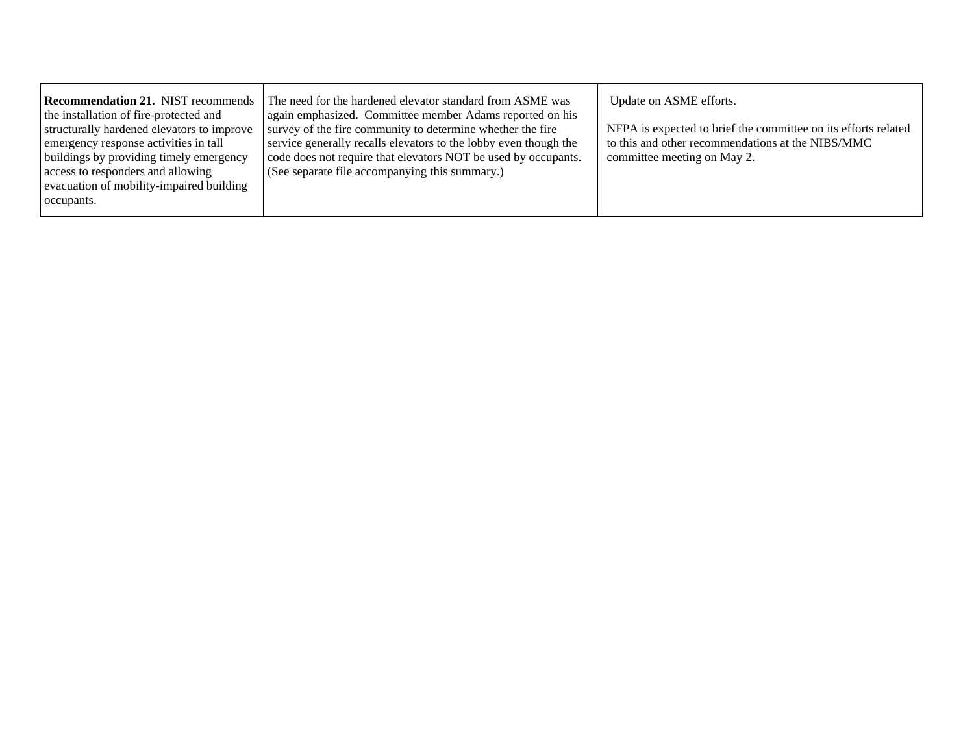| <b>Recommendation 21. NIST recommends</b><br>the installation of fire-protected and<br>structurally hardened elevators to improve<br>emergency response activities in tall<br>buildings by providing timely emergency<br>access to responders and allowing<br>evacuation of mobility-impaired building<br>occupants. | The need for the hardened elevator standard from ASME was<br>again emphasized. Committee member Adams reported on his<br>survey of the fire community to determine whether the fire<br>service generally recalls elevators to the lobby even though the<br>code does not require that elevators NOT be used by occupants.<br>(See separate file accompanying this summary.) | Update on ASME efforts.<br>NFPA is expected to brief the committee on its efforts related<br>to this and other recommendations at the NIBS/MMC<br>committee meeting on May 2. |
|----------------------------------------------------------------------------------------------------------------------------------------------------------------------------------------------------------------------------------------------------------------------------------------------------------------------|-----------------------------------------------------------------------------------------------------------------------------------------------------------------------------------------------------------------------------------------------------------------------------------------------------------------------------------------------------------------------------|-------------------------------------------------------------------------------------------------------------------------------------------------------------------------------|
|----------------------------------------------------------------------------------------------------------------------------------------------------------------------------------------------------------------------------------------------------------------------------------------------------------------------|-----------------------------------------------------------------------------------------------------------------------------------------------------------------------------------------------------------------------------------------------------------------------------------------------------------------------------------------------------------------------------|-------------------------------------------------------------------------------------------------------------------------------------------------------------------------------|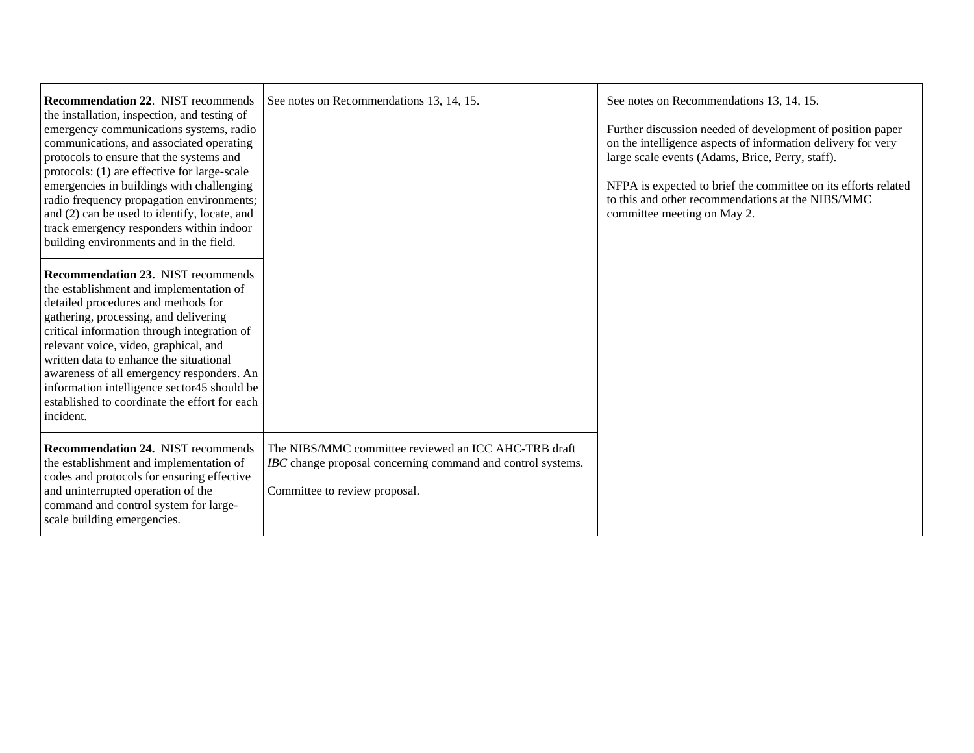| <b>Recommendation 22. NIST recommends</b><br>the installation, inspection, and testing of<br>emergency communications systems, radio<br>communications, and associated operating<br>protocols to ensure that the systems and<br>protocols: (1) are effective for large-scale<br>emergencies in buildings with challenging<br>radio frequency propagation environments;<br>and (2) can be used to identify, locate, and<br>track emergency responders within indoor<br>building environments and in the field. | See notes on Recommendations 13, 14, 15.                                                                                                             | See notes on Recommendations 13, 14, 15.<br>Further discussion needed of development of position paper<br>on the intelligence aspects of information delivery for very<br>large scale events (Adams, Brice, Perry, staff).<br>NFPA is expected to brief the committee on its efforts related<br>to this and other recommendations at the NIBS/MMC<br>committee meeting on May 2. |
|---------------------------------------------------------------------------------------------------------------------------------------------------------------------------------------------------------------------------------------------------------------------------------------------------------------------------------------------------------------------------------------------------------------------------------------------------------------------------------------------------------------|------------------------------------------------------------------------------------------------------------------------------------------------------|----------------------------------------------------------------------------------------------------------------------------------------------------------------------------------------------------------------------------------------------------------------------------------------------------------------------------------------------------------------------------------|
| <b>Recommendation 23. NIST recommends</b><br>the establishment and implementation of<br>detailed procedures and methods for<br>gathering, processing, and delivering<br>critical information through integration of<br>relevant voice, video, graphical, and<br>written data to enhance the situational<br>awareness of all emergency responders. An<br>information intelligence sector45 should be<br>established to coordinate the effort for each<br>incident.                                             |                                                                                                                                                      |                                                                                                                                                                                                                                                                                                                                                                                  |
| <b>Recommendation 24. NIST recommends</b><br>the establishment and implementation of<br>codes and protocols for ensuring effective<br>and uninterrupted operation of the<br>command and control system for large-<br>scale building emergencies.                                                                                                                                                                                                                                                              | The NIBS/MMC committee reviewed an ICC AHC-TRB draft<br>IBC change proposal concerning command and control systems.<br>Committee to review proposal. |                                                                                                                                                                                                                                                                                                                                                                                  |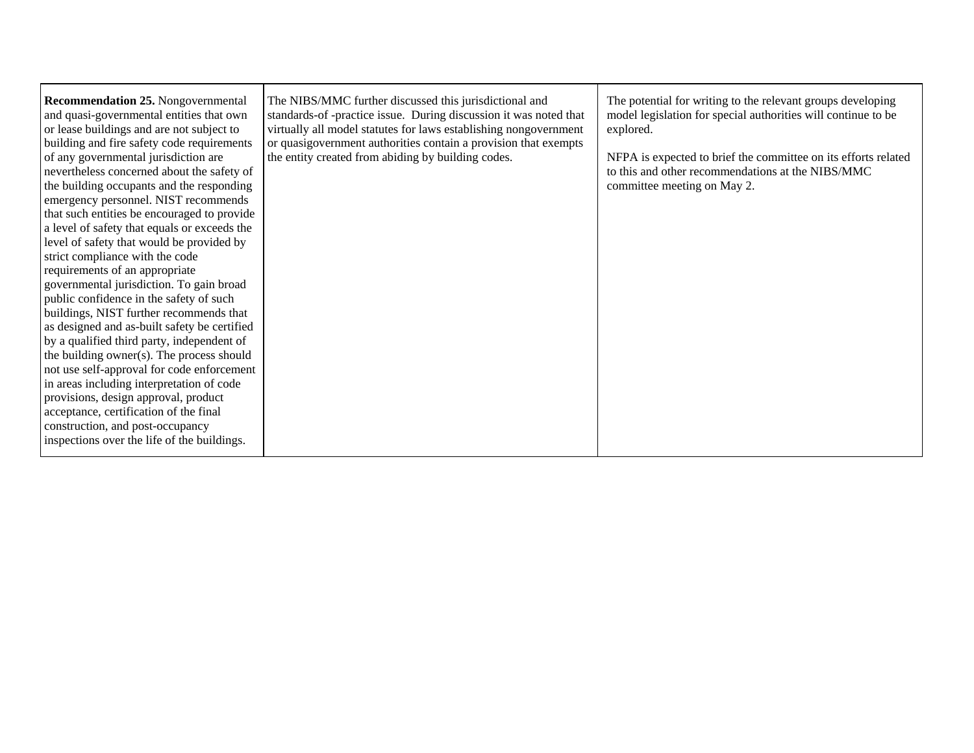| <b>Recommendation 25. Nongovernmental</b><br>and quasi-governmental entities that own<br>or lease buildings and are not subject to<br>building and fire safety code requirements<br>of any governmental jurisdiction are<br>nevertheless concerned about the safety of<br>the building occupants and the responding<br>emergency personnel. NIST recommends<br>that such entities be encouraged to provide<br>a level of safety that equals or exceeds the<br>level of safety that would be provided by<br>strict compliance with the code<br>requirements of an appropriate<br>governmental jurisdiction. To gain broad<br>public confidence in the safety of such<br>buildings, NIST further recommends that<br>as designed and as-built safety be certified<br>by a qualified third party, independent of<br>the building owner(s). The process should<br>not use self-approval for code enforcement<br>in areas including interpretation of code<br>provisions, design approval, product<br>acceptance, certification of the final<br>construction, and post-occupancy<br>inspections over the life of the buildings. | The NIBS/MMC further discussed this jurisdictional and<br>standards-of-practice issue. During discussion it was noted that<br>virtually all model statutes for laws establishing nongovernment<br>or quasigovernment authorities contain a provision that exempts<br>the entity created from abiding by building codes. | The potential for writing to the relevant groups developing<br>model legislation for special authorities will continue to be<br>explored.<br>NFPA is expected to brief the committee on its efforts related<br>to this and other recommendations at the NIBS/MMC<br>committee meeting on May 2. |
|---------------------------------------------------------------------------------------------------------------------------------------------------------------------------------------------------------------------------------------------------------------------------------------------------------------------------------------------------------------------------------------------------------------------------------------------------------------------------------------------------------------------------------------------------------------------------------------------------------------------------------------------------------------------------------------------------------------------------------------------------------------------------------------------------------------------------------------------------------------------------------------------------------------------------------------------------------------------------------------------------------------------------------------------------------------------------------------------------------------------------|-------------------------------------------------------------------------------------------------------------------------------------------------------------------------------------------------------------------------------------------------------------------------------------------------------------------------|-------------------------------------------------------------------------------------------------------------------------------------------------------------------------------------------------------------------------------------------------------------------------------------------------|
|---------------------------------------------------------------------------------------------------------------------------------------------------------------------------------------------------------------------------------------------------------------------------------------------------------------------------------------------------------------------------------------------------------------------------------------------------------------------------------------------------------------------------------------------------------------------------------------------------------------------------------------------------------------------------------------------------------------------------------------------------------------------------------------------------------------------------------------------------------------------------------------------------------------------------------------------------------------------------------------------------------------------------------------------------------------------------------------------------------------------------|-------------------------------------------------------------------------------------------------------------------------------------------------------------------------------------------------------------------------------------------------------------------------------------------------------------------------|-------------------------------------------------------------------------------------------------------------------------------------------------------------------------------------------------------------------------------------------------------------------------------------------------|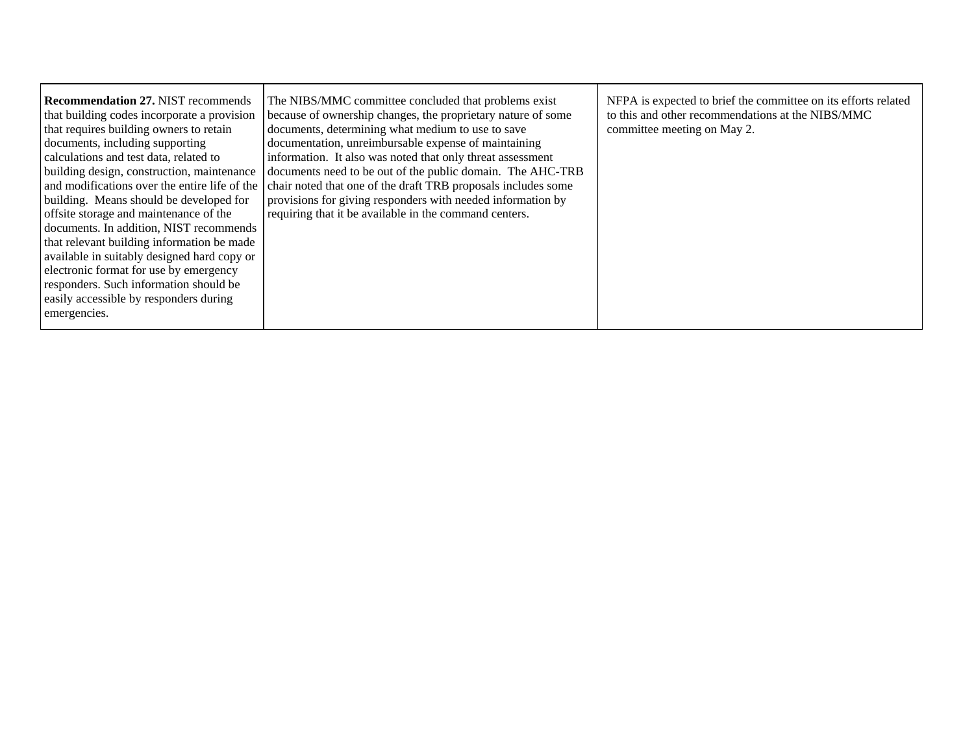| <b>Recommendation 27. NIST recommends</b><br>that building codes incorporate a provision<br>that requires building owners to retain<br>documents, including supporting<br>calculations and test data, related to<br>building design, construction, maintenance<br>building. Means should be developed for<br>offsite storage and maintenance of the<br>documents. In addition, NIST recommends<br>that relevant building information be made<br>available in suitably designed hard copy or<br>electronic format for use by emergency<br>responders. Such information should be<br>easily accessible by responders during<br>emergencies. | The NIBS/MMC committee concluded that problems exist<br>because of ownership changes, the proprietary nature of some<br>documents, determining what medium to use to save<br>documentation, unreimbursable expense of maintaining<br>information. It also was noted that only threat assessment<br>documents need to be out of the public domain. The AHC-TRB<br>and modifications over the entire life of the chair noted that one of the draft TRB proposals includes some<br>provisions for giving responders with needed information by<br>requiring that it be available in the command centers. | NFPA is expected to brief the committee on its efforts related<br>to this and other recommendations at the NIBS/MMC<br>committee meeting on May 2. |
|-------------------------------------------------------------------------------------------------------------------------------------------------------------------------------------------------------------------------------------------------------------------------------------------------------------------------------------------------------------------------------------------------------------------------------------------------------------------------------------------------------------------------------------------------------------------------------------------------------------------------------------------|-------------------------------------------------------------------------------------------------------------------------------------------------------------------------------------------------------------------------------------------------------------------------------------------------------------------------------------------------------------------------------------------------------------------------------------------------------------------------------------------------------------------------------------------------------------------------------------------------------|----------------------------------------------------------------------------------------------------------------------------------------------------|
|-------------------------------------------------------------------------------------------------------------------------------------------------------------------------------------------------------------------------------------------------------------------------------------------------------------------------------------------------------------------------------------------------------------------------------------------------------------------------------------------------------------------------------------------------------------------------------------------------------------------------------------------|-------------------------------------------------------------------------------------------------------------------------------------------------------------------------------------------------------------------------------------------------------------------------------------------------------------------------------------------------------------------------------------------------------------------------------------------------------------------------------------------------------------------------------------------------------------------------------------------------------|----------------------------------------------------------------------------------------------------------------------------------------------------|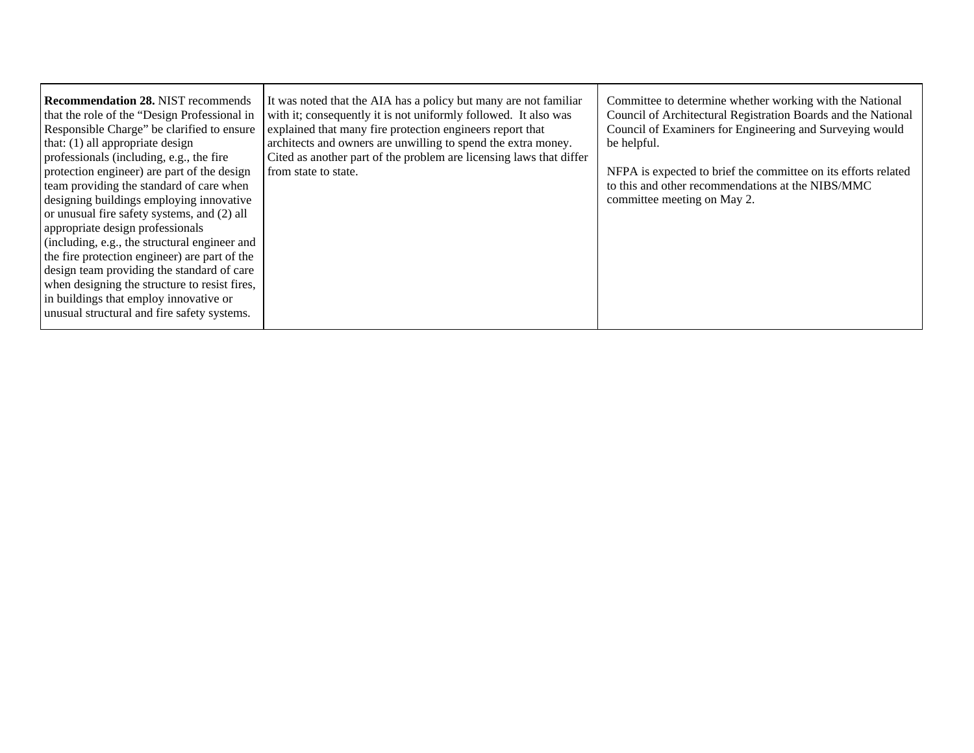| <b>Recommendation 28. NIST recommends</b><br>that the role of the "Design Professional in<br>Responsible Charge" be clarified to ensure<br>that: $(1)$ all appropriate design<br>professionals (including, e.g., the fire<br>protection engineer) are part of the design<br>team providing the standard of care when<br>designing buildings employing innovative<br>or unusual fire safety systems, and (2) all<br>appropriate design professionals<br>(including, e.g., the structural engineer and<br>the fire protection engineer) are part of the<br>design team providing the standard of care<br>when designing the structure to resist fires,<br>in buildings that employ innovative or<br>unusual structural and fire safety systems. | It was noted that the AIA has a policy but many are not familiar<br>with it; consequently it is not uniformly followed. It also was<br>explained that many fire protection engineers report that<br>architects and owners are unwilling to spend the extra money.<br>Cited as another part of the problem are licensing laws that differ<br>from state to state. | Committee to determine whether working with the National<br>Council of Architectural Registration Boards and the National<br>Council of Examiners for Engineering and Surveying would<br>be helpful.<br>NFPA is expected to brief the committee on its efforts related<br>to this and other recommendations at the NIBS/MMC<br>committee meeting on May 2. |
|-----------------------------------------------------------------------------------------------------------------------------------------------------------------------------------------------------------------------------------------------------------------------------------------------------------------------------------------------------------------------------------------------------------------------------------------------------------------------------------------------------------------------------------------------------------------------------------------------------------------------------------------------------------------------------------------------------------------------------------------------|------------------------------------------------------------------------------------------------------------------------------------------------------------------------------------------------------------------------------------------------------------------------------------------------------------------------------------------------------------------|------------------------------------------------------------------------------------------------------------------------------------------------------------------------------------------------------------------------------------------------------------------------------------------------------------------------------------------------------------|
|-----------------------------------------------------------------------------------------------------------------------------------------------------------------------------------------------------------------------------------------------------------------------------------------------------------------------------------------------------------------------------------------------------------------------------------------------------------------------------------------------------------------------------------------------------------------------------------------------------------------------------------------------------------------------------------------------------------------------------------------------|------------------------------------------------------------------------------------------------------------------------------------------------------------------------------------------------------------------------------------------------------------------------------------------------------------------------------------------------------------------|------------------------------------------------------------------------------------------------------------------------------------------------------------------------------------------------------------------------------------------------------------------------------------------------------------------------------------------------------------|